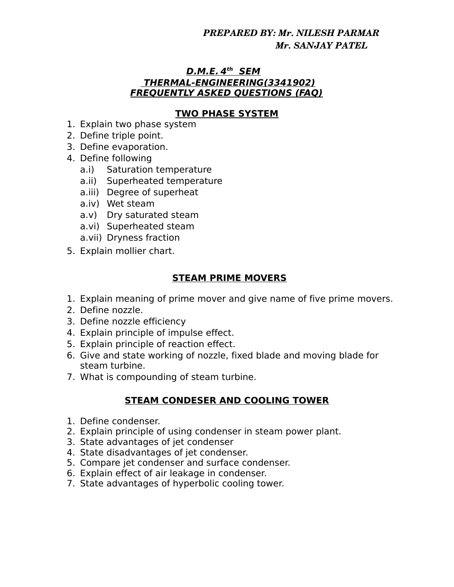# *PREPARED BY: Mr. NILESH PARMAR Mr. SANJAY PATEL*

#### **D.M.E. 4 th SEM THERMAL-ENGINEERING(3341902) FREQUENTLY ASKED QUESTIONS (FAQ)**

#### **TWO PHASE SYSTEM**

- 1. Explain two phase system
- 2. Define triple point.
- 3. Define evaporation.
- 4. Define following
	- a.i) Saturation temperature
	- a.ii) Superheated temperature
	- a.iii) Degree of superheat
	- a.iv) Wet steam
	- a.v) Dry saturated steam
	- a.vi) Superheated steam
	- a.vii) Dryness fraction
- 5. Explain mollier chart.

# **STEAM PRIME MOVERS**

- 1. Explain meaning of prime mover and give name of five prime movers.
- 2. Define nozzle.
- 3. Define nozzle efficiency
- 4. Explain principle of impulse effect.
- 5. Explain principle of reaction effect.
- 6. Give and state working of nozzle, fixed blade and moving blade for steam turbine.
- 7. What is compounding of steam turbine.

# **STEAM CONDESER AND COOLING TOWER**

- 1. Define condenser.
- 2. Explain principle of using condenser in steam power plant.
- 3. State advantages of jet condenser
- 4. State disadvantages of jet condenser.
- 5. Compare jet condenser and surface condenser.
- 6. Explain effect of air leakage in condenser.
- 7. State advantages of hyperbolic cooling tower.